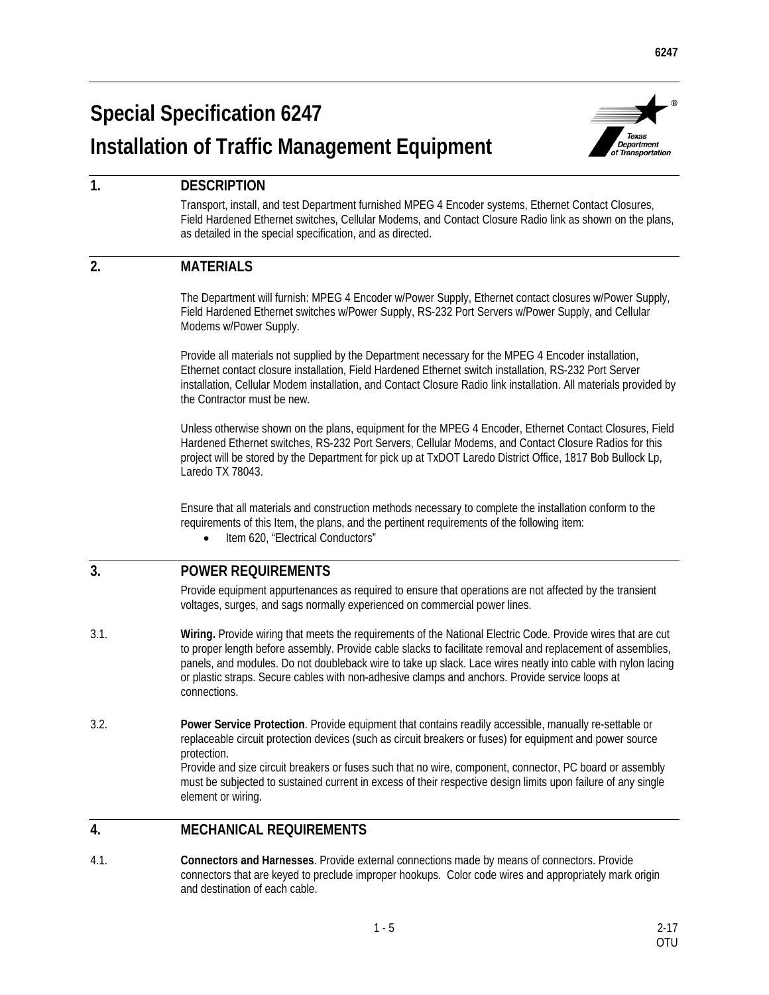# **Special Specification 6247 Installation of Traffic Management Equipment**



# **1. DESCRIPTION**

Transport, install, and test Department furnished MPEG 4 Encoder systems, Ethernet Contact Closures, Field Hardened Ethernet switches, Cellular Modems, and Contact Closure Radio link as shown on the plans, as detailed in the special specification, and as directed.

# **2. MATERIALS**

The Department will furnish: MPEG 4 Encoder w/Power Supply, Ethernet contact closures w/Power Supply, Field Hardened Ethernet switches w/Power Supply, RS-232 Port Servers w/Power Supply, and Cellular Modems w/Power Supply.

Provide all materials not supplied by the Department necessary for the MPEG 4 Encoder installation, Ethernet contact closure installation, Field Hardened Ethernet switch installation, RS-232 Port Server installation, Cellular Modem installation, and Contact Closure Radio link installation. All materials provided by the Contractor must be new.

Unless otherwise shown on the plans, equipment for the MPEG 4 Encoder, Ethernet Contact Closures, Field Hardened Ethernet switches, RS-232 Port Servers, Cellular Modems, and Contact Closure Radios for this project will be stored by the Department for pick up at TxDOT Laredo District Office, 1817 Bob Bullock Lp, Laredo TX 78043.

Ensure that all materials and construction methods necessary to complete the installation conform to the requirements of this Item, the plans, and the pertinent requirements of the following item:

Item 620, "Electrical Conductors"

## **3. POWER REQUIREMENTS**

Provide equipment appurtenances as required to ensure that operations are not affected by the transient voltages, surges, and sags normally experienced on commercial power lines.

- 3.1. **Wiring.** Provide wiring that meets the requirements of the National Electric Code. Provide wires that are cut to proper length before assembly. Provide cable slacks to facilitate removal and replacement of assemblies, panels, and modules. Do not doubleback wire to take up slack. Lace wires neatly into cable with nylon lacing or plastic straps. Secure cables with non-adhesive clamps and anchors. Provide service loops at connections.
- 3.2. **Power Service Protection**. Provide equipment that contains readily accessible, manually re-settable or replaceable circuit protection devices (such as circuit breakers or fuses) for equipment and power source protection.

Provide and size circuit breakers or fuses such that no wire, component, connector, PC board or assembly must be subjected to sustained current in excess of their respective design limits upon failure of any single element or wiring.

## **4. MECHANICAL REQUIREMENTS**

4.1. **Connectors and Harnesses**. Provide external connections made by means of connectors. Provide connectors that are keyed to preclude improper hookups. Color code wires and appropriately mark origin and destination of each cable.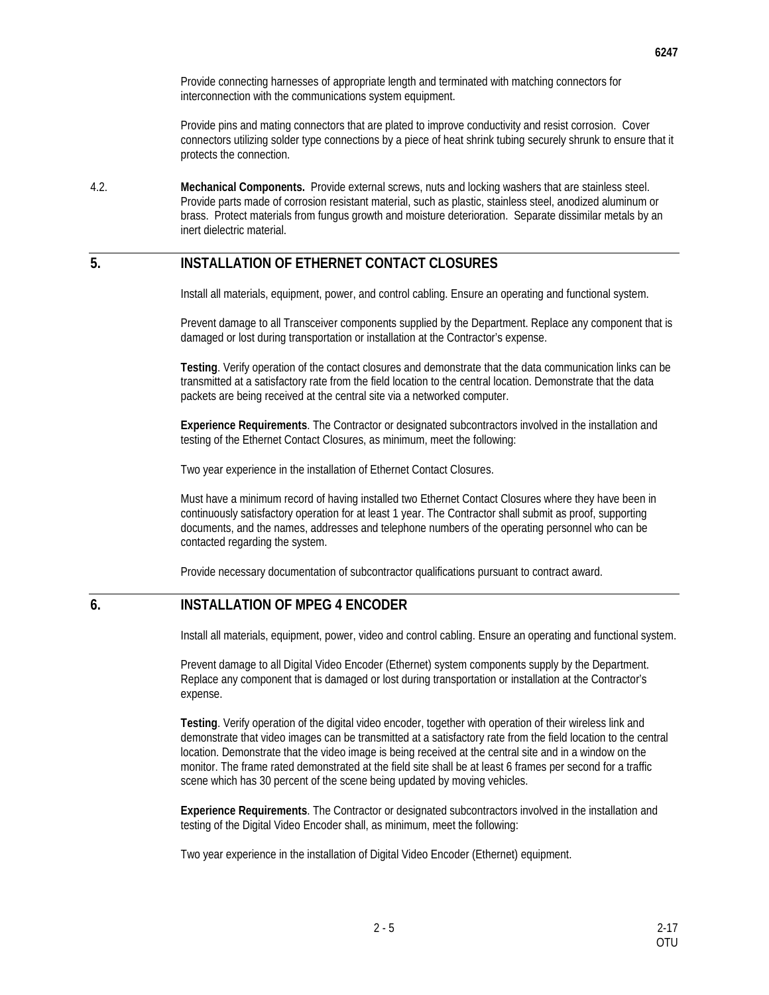Provide connecting harnesses of appropriate length and terminated with matching connectors for interconnection with the communications system equipment.

Provide pins and mating connectors that are plated to improve conductivity and resist corrosion. Cover connectors utilizing solder type connections by a piece of heat shrink tubing securely shrunk to ensure that it protects the connection.

4.2. **Mechanical Components.** Provide external screws, nuts and locking washers that are stainless steel. Provide parts made of corrosion resistant material, such as plastic, stainless steel, anodized aluminum or brass. Protect materials from fungus growth and moisture deterioration. Separate dissimilar metals by an inert dielectric material.

#### **5. INSTALLATION OF ETHERNET CONTACT CLOSURES**

Install all materials, equipment, power, and control cabling. Ensure an operating and functional system.

Prevent damage to all Transceiver components supplied by the Department. Replace any component that is damaged or lost during transportation or installation at the Contractor's expense.

**Testing**. Verify operation of the contact closures and demonstrate that the data communication links can be transmitted at a satisfactory rate from the field location to the central location. Demonstrate that the data packets are being received at the central site via a networked computer.

**Experience Requirements**. The Contractor or designated subcontractors involved in the installation and testing of the Ethernet Contact Closures, as minimum, meet the following:

Two year experience in the installation of Ethernet Contact Closures.

Must have a minimum record of having installed two Ethernet Contact Closures where they have been in continuously satisfactory operation for at least 1 year. The Contractor shall submit as proof, supporting documents, and the names, addresses and telephone numbers of the operating personnel who can be contacted regarding the system.

Provide necessary documentation of subcontractor qualifications pursuant to contract award.

#### **6. INSTALLATION OF MPEG 4 ENCODER**

Install all materials, equipment, power, video and control cabling. Ensure an operating and functional system.

Prevent damage to all Digital Video Encoder (Ethernet) system components supply by the Department. Replace any component that is damaged or lost during transportation or installation at the Contractor's expense.

**Testing**. Verify operation of the digital video encoder, together with operation of their wireless link and demonstrate that video images can be transmitted at a satisfactory rate from the field location to the central location. Demonstrate that the video image is being received at the central site and in a window on the monitor. The frame rated demonstrated at the field site shall be at least 6 frames per second for a traffic scene which has 30 percent of the scene being updated by moving vehicles.

**Experience Requirements**. The Contractor or designated subcontractors involved in the installation and testing of the Digital Video Encoder shall, as minimum, meet the following:

Two year experience in the installation of Digital Video Encoder (Ethernet) equipment.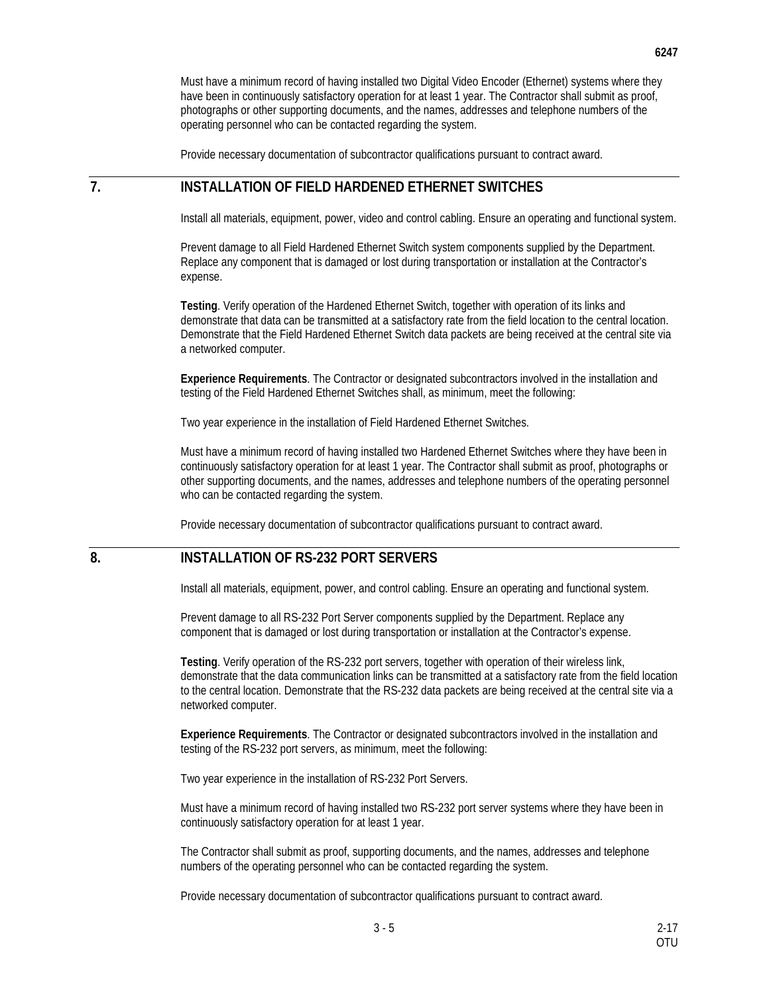Must have a minimum record of having installed two Digital Video Encoder (Ethernet) systems where they have been in continuously satisfactory operation for at least 1 year. The Contractor shall submit as proof, photographs or other supporting documents, and the names, addresses and telephone numbers of the operating personnel who can be contacted regarding the system.

Provide necessary documentation of subcontractor qualifications pursuant to contract award.

#### **7. INSTALLATION OF FIELD HARDENED ETHERNET SWITCHES**

Install all materials, equipment, power, video and control cabling. Ensure an operating and functional system.

Prevent damage to all Field Hardened Ethernet Switch system components supplied by the Department. Replace any component that is damaged or lost during transportation or installation at the Contractor's expense.

**Testing**. Verify operation of the Hardened Ethernet Switch, together with operation of its links and demonstrate that data can be transmitted at a satisfactory rate from the field location to the central location. Demonstrate that the Field Hardened Ethernet Switch data packets are being received at the central site via a networked computer.

**Experience Requirements**. The Contractor or designated subcontractors involved in the installation and testing of the Field Hardened Ethernet Switches shall, as minimum, meet the following:

Two year experience in the installation of Field Hardened Ethernet Switches.

Must have a minimum record of having installed two Hardened Ethernet Switches where they have been in continuously satisfactory operation for at least 1 year. The Contractor shall submit as proof, photographs or other supporting documents, and the names, addresses and telephone numbers of the operating personnel who can be contacted regarding the system.

Provide necessary documentation of subcontractor qualifications pursuant to contract award.

# **8. INSTALLATION OF RS-232 PORT SERVERS**

Install all materials, equipment, power, and control cabling. Ensure an operating and functional system.

Prevent damage to all RS-232 Port Server components supplied by the Department. Replace any component that is damaged or lost during transportation or installation at the Contractor's expense.

**Testing**. Verify operation of the RS-232 port servers, together with operation of their wireless link, demonstrate that the data communication links can be transmitted at a satisfactory rate from the field location to the central location. Demonstrate that the RS-232 data packets are being received at the central site via a networked computer.

**Experience Requirements**. The Contractor or designated subcontractors involved in the installation and testing of the RS-232 port servers, as minimum, meet the following:

Two year experience in the installation of RS-232 Port Servers.

Must have a minimum record of having installed two RS-232 port server systems where they have been in continuously satisfactory operation for at least 1 year.

The Contractor shall submit as proof, supporting documents, and the names, addresses and telephone numbers of the operating personnel who can be contacted regarding the system.

Provide necessary documentation of subcontractor qualifications pursuant to contract award.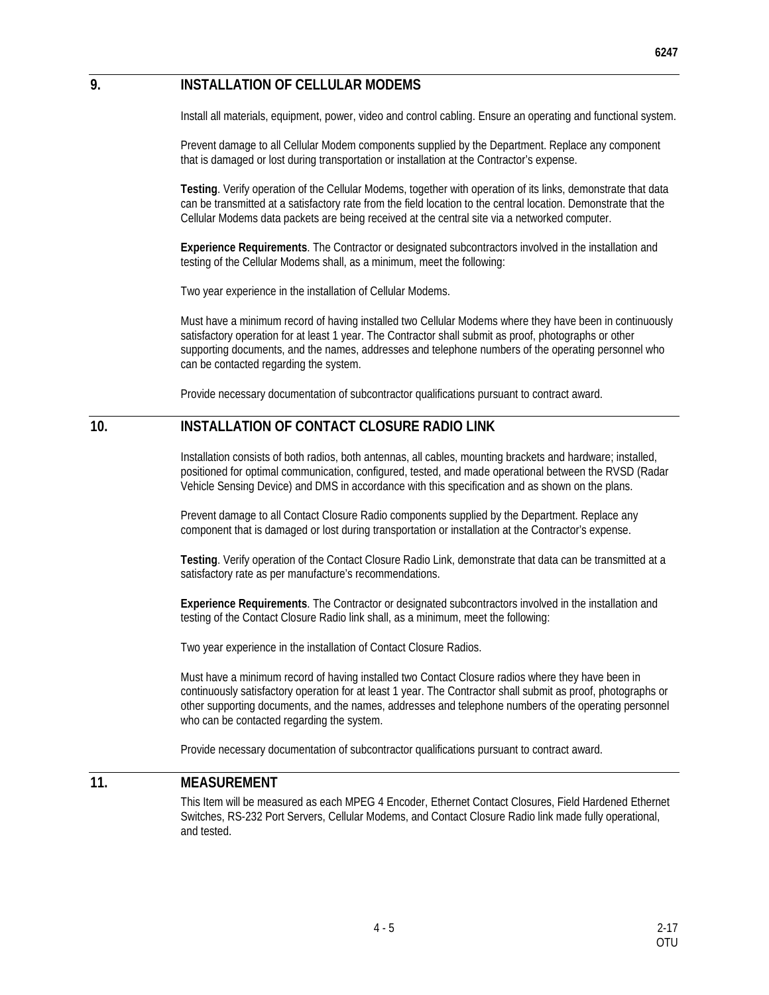## **9. INSTALLATION OF CELLULAR MODEMS**

Install all materials, equipment, power, video and control cabling. Ensure an operating and functional system.

Prevent damage to all Cellular Modem components supplied by the Department. Replace any component that is damaged or lost during transportation or installation at the Contractor's expense.

**Testing**. Verify operation of the Cellular Modems, together with operation of its links, demonstrate that data can be transmitted at a satisfactory rate from the field location to the central location. Demonstrate that the Cellular Modems data packets are being received at the central site via a networked computer.

**Experience Requirements**. The Contractor or designated subcontractors involved in the installation and testing of the Cellular Modems shall, as a minimum, meet the following:

Two year experience in the installation of Cellular Modems.

Must have a minimum record of having installed two Cellular Modems where they have been in continuously satisfactory operation for at least 1 year. The Contractor shall submit as proof, photographs or other supporting documents, and the names, addresses and telephone numbers of the operating personnel who can be contacted regarding the system.

Provide necessary documentation of subcontractor qualifications pursuant to contract award.

#### **10. INSTALLATION OF CONTACT CLOSURE RADIO LINK**

Installation consists of both radios, both antennas, all cables, mounting brackets and hardware; installed, positioned for optimal communication, configured, tested, and made operational between the RVSD (Radar Vehicle Sensing Device) and DMS in accordance with this specification and as shown on the plans.

Prevent damage to all Contact Closure Radio components supplied by the Department. Replace any component that is damaged or lost during transportation or installation at the Contractor's expense.

**Testing**. Verify operation of the Contact Closure Radio Link, demonstrate that data can be transmitted at a satisfactory rate as per manufacture's recommendations.

**Experience Requirements**. The Contractor or designated subcontractors involved in the installation and testing of the Contact Closure Radio link shall, as a minimum, meet the following:

Two year experience in the installation of Contact Closure Radios.

Must have a minimum record of having installed two Contact Closure radios where they have been in continuously satisfactory operation for at least 1 year. The Contractor shall submit as proof, photographs or other supporting documents, and the names, addresses and telephone numbers of the operating personnel who can be contacted regarding the system.

Provide necessary documentation of subcontractor qualifications pursuant to contract award.

#### **11. MEASUREMENT**

This Item will be measured as each MPEG 4 Encoder, Ethernet Contact Closures, Field Hardened Ethernet Switches, RS-232 Port Servers, Cellular Modems, and Contact Closure Radio link made fully operational, and tested.